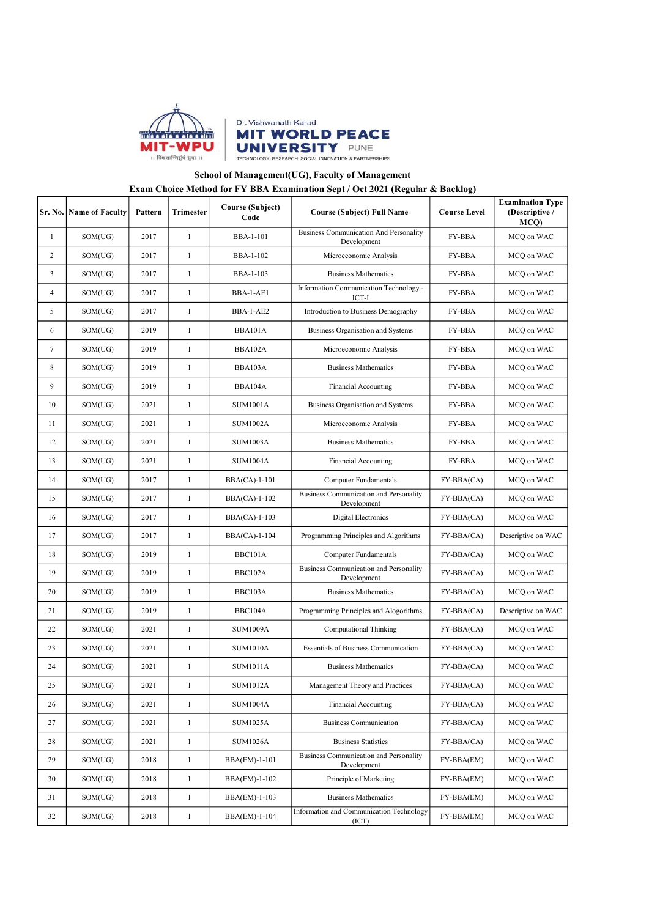



## School of Management(UG), Faculty of Management

## Exam Choice Method for FY BBA Examination Sept / Oct 2021 (Regular & Backlog)

| Sr. No.        | <b>Name of Faculty</b> | Pattern  | Trimester    | <b>Course (Subject)</b><br>Code | <b>Course (Subject) Full Name</b>                     | <b>Course Level</b> | <b>Examination Type</b><br>(Descriptive /<br>MCQ) |
|----------------|------------------------|----------|--------------|---------------------------------|-------------------------------------------------------|---------------------|---------------------------------------------------|
| 1              | SOM(UG)                | 2017     | $\mathbf{1}$ | <b>BBA-1-101</b>                | Business Communication And Personality<br>Development | <b>FY-BBA</b>       | MCQ on WAC                                        |
| $\overline{c}$ | SOM(UG)                | 2017     | $\mathbf{1}$ | <b>BBA-1-102</b>                | Microeconomic Analysis                                | <b>FY-BBA</b>       | MCQ on WAC                                        |
| 3              | SOM(UG)                | 2017     | $\mathbf{1}$ | BBA-1-103                       | <b>Business Mathematics</b>                           | <b>FY-BBA</b>       | MCQ on WAC                                        |
| 4              | SOM(UG)                | 2017     | $\mathbf{1}$ | BBA-1-AE1                       | Information Communication Technology -<br>ICT-I       | <b>FY-BBA</b>       | MCQ on WAC                                        |
| 5              | SOM(UG)                | 2017     | $\mathbf{1}$ | BBA-1-AE2                       | Introduction to Business Demography                   | <b>FY-BBA</b>       | MCQ on WAC                                        |
| 6              | SOM(UG)                | 2019     | $\mathbf{1}$ | BBA101A                         | Business Organisation and Systems                     | <b>FY-BBA</b>       | MCQ on WAC                                        |
| 7              | SOM(UG)                | 2019     | $\mathbf{1}$ | BBA102A                         | Microeconomic Analysis                                | <b>FY-BBA</b>       | MCQ on WAC                                        |
| 8              | SOM(UG)                | 2019     | $\mathbf{1}$ | BBA103A                         | <b>Business Mathematics</b>                           | FY-BBA              | MCQ on WAC                                        |
| 9              | SOM(UG)                | 2019     | $\mathbf{1}$ | BBA104A                         | <b>Financial Accounting</b>                           | <b>FY-BBA</b>       | MCQ on WAC                                        |
| 10             | SOM(UG)                | 2021     | $\mathbf{1}$ | <b>SUM1001A</b>                 | Business Organisation and Systems                     | FY-BBA              | MCQ on WAC                                        |
| 11             | SOM(UG)                | 2021     | $\mathbf{1}$ | <b>SUM1002A</b>                 | Microeconomic Analysis                                | <b>FY-BBA</b>       | MCQ on WAC                                        |
| 12             | SOM(UG)                | 2021     | $\mathbf{1}$ | <b>SUM1003A</b>                 | <b>Business Mathematics</b>                           | <b>FY-BBA</b>       | MCQ on WAC                                        |
| 13             | SOM(UG)                | 2021     | $\mathbf{1}$ | <b>SUM1004A</b>                 | Financial Accounting                                  | FY-BBA              | MCQ on WAC                                        |
| 14             | SOM(UG)                | 2017     | $\mathbf{1}$ | BBA(CA)-1-101                   | Computer Fundamentals                                 | FY-BBA(CA)          | MCQ on WAC                                        |
| 15             | SOM(UG)                | 2017     | $\mathbf{1}$ | BBA(CA)-1-102                   | Business Communication and Personality<br>Development | $FY-BBA(CA)$        | MCQ on WAC                                        |
| 16             | SOM(UG)                | 2017     | $\mathbf{1}$ | BBA(CA)-1-103                   | Digital Electronics                                   | FY-BBA(CA)          | MCQ on WAC                                        |
| 17             | SOM(UG)                | 2017     | $\mathbf{1}$ | BBA(CA)-1-104                   | Programming Principles and Algorithms                 | $FY-BBA(CA)$        | Descriptive on WAC                                |
| 18             | SOM(UG)                | 2019     | $\mathbf{1}$ | BBC101A                         | Computer Fundamentals                                 | FY-BBA(CA)          | MCQ on WAC                                        |
| 19             | SOM(UG)                | 2019     | $\mathbf{1}$ | BBC102A                         | Business Communication and Personality<br>Development | FY-BBA(CA)          | MCQ on WAC                                        |
| 20             | SOM(UG)                | 2019     | $\mathbf{1}$ | BBC103A                         | <b>Business Mathematics</b>                           | FY-BBA(CA)          | MCQ on WAC                                        |
| 21             | SOM(UG)                | 2019     | $\mathbf{1}$ | BBC104A                         | Programming Principles and Alogorithms                | FY-BBA(CA)          | Descriptive on WAC                                |
| 22             | SOM(UG)                | 2021     | $\mathbf{1}$ | <b>SUM1009A</b>                 | <b>Computational Thinking</b>                         | FY-BBA(CA)          | MCQ on WAC                                        |
| 23             | SOM(UG)                | 2021     | $\mathbf{1}$ | <b>SUM1010A</b>                 | <b>Essentials of Business Communication</b>           | FY-BBA(CA)          | MCQ on WAC                                        |
| 24             | SOM(UG)                | 2021     | $\mathbf{1}$ | <b>SUM1011A</b>                 | <b>Business Mathematics</b>                           | FY-BBA(CA)          | MCQ on WAC                                        |
| 25             | SOM(UG)                | $2021\,$ |              | <b>SUM1012A</b>                 | Management Theory and Practices                       | FY-BBA(CA)          | MCQ on WAC                                        |
| 26             | SOM(UG)                | 2021     | $\mathbf{1}$ | <b>SUM1004A</b>                 | Financial Accounting                                  | FY-BBA(CA)          | MCQ on WAC                                        |
| 27             | SOM(UG)                | 2021     | $\mathbf{1}$ | <b>SUM1025A</b>                 | <b>Business Communication</b>                         | FY-BBA(CA)          | MCQ on WAC                                        |
| 28             | SOM(UG)                | 2021     | $\mathbf{1}$ | <b>SUM1026A</b>                 | <b>Business Statistics</b>                            | $FY-BBA(CA)$        | MCQ on WAC                                        |
| 29             | SOM(UG)                | 2018     | $\mathbf{1}$ | BBA(EM)-1-101                   | Business Communication and Personality<br>Development | FY-BBA(EM)          | MCQ on WAC                                        |
| 30             | SOM(UG)                | 2018     | $\mathbf{1}$ | BBA(EM)-1-102                   | Principle of Marketing                                | FY-BBA(EM)          | MCQ on WAC                                        |
| 31             | SOM(UG)                | 2018     | $\mathbf{1}$ | BBA(EM)-1-103                   | <b>Business Mathematics</b>                           | FY-BBA(EM)          | MCQ on WAC                                        |
| 32             | SOM(UG)                | 2018     | $\mathbf{1}$ | BBA(EM)-1-104                   | Information and Communication Technology<br>(ICT)     | FY-BBA(EM)          | MCQ on WAC                                        |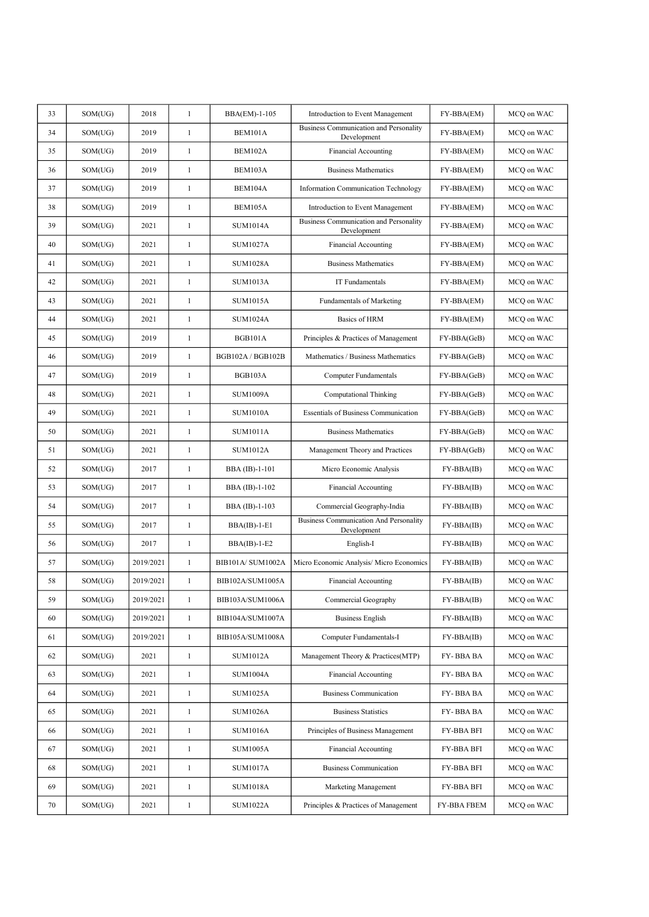| 2018<br>$\mathbf{1}$<br>33<br>SOM(UG)<br>BBA(EM)-1-105<br>FY-BBA(EM)<br>Introduction to Event Management<br>Business Communication and Personality<br>34<br>SOM(UG)<br>2019<br>$\mathbf{1}$<br>BEM101A<br>FY-BBA(EM)<br>Development<br>$\mathbf{1}$<br>35<br>2019<br>BEM102A<br>Financial Accounting<br>SOM(UG)<br>FY-BBA(EM)<br>36<br>2019<br>$\mathbf{1}$<br>BEM103A<br><b>Business Mathematics</b><br>SOM(UG)<br>FY-BBA(EM)<br>37<br>2019<br>$\mathbf{1}$<br>BEM104A<br>FY-BBA(EM)<br>SOM(UG)<br><b>Information Communication Technology</b><br>$\mathbf{1}$<br>38<br>2019<br>BEM105A<br>SOM(UG)<br>Introduction to Event Management<br>FY-BBA(EM)<br>Business Communication and Personality<br>39<br>$\mathbf{1}$<br>2021<br><b>SUM1014A</b><br>SOM(UG)<br>FY-BBA(EM)<br>Development<br>$\mathbf{1}$<br>40<br>2021<br><b>SUM1027A</b><br>Financial Accounting<br>SOM(UG)<br>FY-BBA(EM)<br>41<br>2021<br>$\mathbf{1}$<br><b>SUM1028A</b><br><b>Business Mathematics</b><br>FY-BBA(EM)<br>SOM(UG)<br>2021<br>$\mathbf{1}$<br>42<br><b>SUM1013A</b><br>IT Fundamentals<br>FY-BBA(EM)<br>SOM(UG)<br>43<br>SOM(UG)<br>2021<br>$\mathbf{1}$<br><b>SUM1015A</b><br>Fundamentals of Marketing<br>FY-BBA(EM)<br>44<br>2021<br>$\mathbf{1}$<br><b>SUM1024A</b><br>Basics of HRM<br>SOM(UG)<br>FY-BBA(EM)<br>$\mathbf{1}$<br>45<br>SOM(UG)<br>2019<br><b>BGB101A</b><br>Principles & Practices of Management<br>FY-BBA(GeB)<br>$\mathbf{1}$<br>46<br>2019<br>BGB102A / BGB102B<br>SOM(UG)<br>Mathematics / Business Mathematics<br>FY-BBA(GeB)<br>$\mathbf{1}$<br>47<br>2019<br>BGB103A<br>SOM(UG)<br><b>Computer Fundamentals</b><br>FY-BBA(GeB)<br>48<br>$\mathbf{1}$<br>SOM(UG)<br>2021<br><b>SUM1009A</b><br><b>Computational Thinking</b><br>FY-BBA(GeB)<br>$\mathbf{1}$<br>49<br>2021<br><b>SUM1010A</b><br><b>Essentials of Business Communication</b><br>SOM(UG)<br>FY-BBA(GeB)<br>50<br>2021<br>$\mathbf{1}$<br><b>SUM1011A</b><br><b>Business Mathematics</b><br>SOM(UG)<br>FY-BBA(GeB)<br>$\mathbf{1}$<br>51<br>2021<br><b>SUM1012A</b><br>SOM(UG)<br>Management Theory and Practices<br>FY-BBA(GeB)<br>$\mathbf{1}$<br>52<br>SOM(UG)<br>2017<br>BBA (IB)-1-101<br>Micro Economic Analysis<br>FY-BBA(IB)<br>$\mathbf{1}$<br>53<br>2017<br>SOM(UG)<br>BBA (IB)-1-102<br><b>Financial Accounting</b><br>FY-BBA(IB)<br>$\mathbf{1}$<br>54<br>2017<br>BBA (IB)-1-103<br>Commercial Geography-India<br>FY-BBA(IB)<br>SOM(UG)<br><b>Business Communication And Personality</b><br>55<br>2017<br>$\mathbf{1}$<br>$BBA(IB)-1-E1$<br>FY-BBA(IB)<br>SOM(UG)<br>Development<br>2017<br>$\mathbf{1}$<br>English-I<br>56<br>SOM(UG)<br>$BBA(IB)-1-E2$<br>FY-BBA(IB)<br>57<br>2019/2021<br>$\mathbf{1}$<br>BIB101A/SUM1002A<br>Micro Economic Analysis/ Micro Economics<br>SOM(UG)<br>$FY-BBA(IB)$<br>$\mathbf{1}$<br>58<br>SOM(UG)<br>2019/2021<br>BIB102A/SUM1005A<br>Financial Accounting<br>FY-BBA(IB)<br>2019/2021<br>59<br>SOM(UG)<br>$\mathbf{1}$<br>BIB103A/SUM1006A<br>FY-BBA(IB)<br>Commercial Geography<br>2019/2021<br>$\mathbf{1}$<br>60<br>SOM(UG)<br>BIB104A/SUM1007A<br><b>Business English</b><br>FY-BBA(IB)<br>$\mathbf{1}$<br>61<br>2019/2021<br>BIB105A/SUM1008A<br>Computer Fundamentals-I<br>FY-BBA(IB)<br>SOM(UG)<br>$\mathbf{1}$<br>62<br>2021<br><b>SUM1012A</b><br>Management Theory & Practices(MTP)<br>FY-BBA BA<br>SOM(UG)<br>63<br>SOM(UG)<br>2021<br>$\mathbf{1}$<br><b>SUM1004A</b><br>Financial Accounting<br>FY-BBA BA<br>64<br>2021<br>$\mathbf{1}$<br><b>SUM1025A</b><br><b>Business Communication</b><br>FY-BBA BA<br>SOM(UG)<br>$\mathbf{1}$<br><b>SUM1026A</b><br><b>Business Statistics</b><br>FY-BBA BA<br>65<br>SOM(UG)<br>2021<br>66<br>2021<br>$\mathbf{1}$<br><b>SUM1016A</b><br>Principles of Business Management<br>FY-BBA BFI<br>SOM(UG)<br>$\mathbf{1}$<br>2021<br><b>SUM1005A</b><br>Financial Accounting<br>67<br>SOM(UG)<br>FY-BBA BFI<br>68<br>2021<br>$\mathbf{1}$<br><b>SUM1017A</b><br><b>Business Communication</b><br>FY-BBA BFI<br>SOM(UG)<br>$\mathbf{1}$<br><b>SUM1018A</b><br>69<br>2021<br>Marketing Management<br>FY-BBA BFI<br>SOM(UG)<br>70<br>SOM(UG)<br>2021<br>$\mathbf{1}$<br><b>SUM1022A</b><br>Principles & Practices of Management<br>FY-BBA FBEM |  |  |  |            |
|------------------------------------------------------------------------------------------------------------------------------------------------------------------------------------------------------------------------------------------------------------------------------------------------------------------------------------------------------------------------------------------------------------------------------------------------------------------------------------------------------------------------------------------------------------------------------------------------------------------------------------------------------------------------------------------------------------------------------------------------------------------------------------------------------------------------------------------------------------------------------------------------------------------------------------------------------------------------------------------------------------------------------------------------------------------------------------------------------------------------------------------------------------------------------------------------------------------------------------------------------------------------------------------------------------------------------------------------------------------------------------------------------------------------------------------------------------------------------------------------------------------------------------------------------------------------------------------------------------------------------------------------------------------------------------------------------------------------------------------------------------------------------------------------------------------------------------------------------------------------------------------------------------------------------------------------------------------------------------------------------------------------------------------------------------------------------------------------------------------------------------------------------------------------------------------------------------------------------------------------------------------------------------------------------------------------------------------------------------------------------------------------------------------------------------------------------------------------------------------------------------------------------------------------------------------------------------------------------------------------------------------------------------------------------------------------------------------------------------------------------------------------------------------------------------------------------------------------------------------------------------------------------------------------------------------------------------------------------------------------------------------------------------------------------------------------------------------------------------------------------------------------------------------------------------------------------------------------------------------------------------------------------------------------------------------------------------------------------------------------------------------------------------------------------------------------------------------------------------------------------------------------------------------------------------------------------------------------------------------------------------------------------------------------------------------------------------------------------------------------------------------------------------------------------------------------------------------------------------------------------------------------------------------------------------------------------------------------------------------------------------------------------------------------------------------------------------------------------------------------------------------------------------------------------------------------------------------|--|--|--|------------|
|                                                                                                                                                                                                                                                                                                                                                                                                                                                                                                                                                                                                                                                                                                                                                                                                                                                                                                                                                                                                                                                                                                                                                                                                                                                                                                                                                                                                                                                                                                                                                                                                                                                                                                                                                                                                                                                                                                                                                                                                                                                                                                                                                                                                                                                                                                                                                                                                                                                                                                                                                                                                                                                                                                                                                                                                                                                                                                                                                                                                                                                                                                                                                                                                                                                                                                                                                                                                                                                                                                                                                                                                                                                                                                                                                                                                                                                                                                                                                                                                                                                                                                                                                                                                                  |  |  |  | MCQ on WAC |
|                                                                                                                                                                                                                                                                                                                                                                                                                                                                                                                                                                                                                                                                                                                                                                                                                                                                                                                                                                                                                                                                                                                                                                                                                                                                                                                                                                                                                                                                                                                                                                                                                                                                                                                                                                                                                                                                                                                                                                                                                                                                                                                                                                                                                                                                                                                                                                                                                                                                                                                                                                                                                                                                                                                                                                                                                                                                                                                                                                                                                                                                                                                                                                                                                                                                                                                                                                                                                                                                                                                                                                                                                                                                                                                                                                                                                                                                                                                                                                                                                                                                                                                                                                                                                  |  |  |  | MCQ on WAC |
|                                                                                                                                                                                                                                                                                                                                                                                                                                                                                                                                                                                                                                                                                                                                                                                                                                                                                                                                                                                                                                                                                                                                                                                                                                                                                                                                                                                                                                                                                                                                                                                                                                                                                                                                                                                                                                                                                                                                                                                                                                                                                                                                                                                                                                                                                                                                                                                                                                                                                                                                                                                                                                                                                                                                                                                                                                                                                                                                                                                                                                                                                                                                                                                                                                                                                                                                                                                                                                                                                                                                                                                                                                                                                                                                                                                                                                                                                                                                                                                                                                                                                                                                                                                                                  |  |  |  | MCQ on WAC |
|                                                                                                                                                                                                                                                                                                                                                                                                                                                                                                                                                                                                                                                                                                                                                                                                                                                                                                                                                                                                                                                                                                                                                                                                                                                                                                                                                                                                                                                                                                                                                                                                                                                                                                                                                                                                                                                                                                                                                                                                                                                                                                                                                                                                                                                                                                                                                                                                                                                                                                                                                                                                                                                                                                                                                                                                                                                                                                                                                                                                                                                                                                                                                                                                                                                                                                                                                                                                                                                                                                                                                                                                                                                                                                                                                                                                                                                                                                                                                                                                                                                                                                                                                                                                                  |  |  |  | MCQ on WAC |
|                                                                                                                                                                                                                                                                                                                                                                                                                                                                                                                                                                                                                                                                                                                                                                                                                                                                                                                                                                                                                                                                                                                                                                                                                                                                                                                                                                                                                                                                                                                                                                                                                                                                                                                                                                                                                                                                                                                                                                                                                                                                                                                                                                                                                                                                                                                                                                                                                                                                                                                                                                                                                                                                                                                                                                                                                                                                                                                                                                                                                                                                                                                                                                                                                                                                                                                                                                                                                                                                                                                                                                                                                                                                                                                                                                                                                                                                                                                                                                                                                                                                                                                                                                                                                  |  |  |  | MCQ on WAC |
|                                                                                                                                                                                                                                                                                                                                                                                                                                                                                                                                                                                                                                                                                                                                                                                                                                                                                                                                                                                                                                                                                                                                                                                                                                                                                                                                                                                                                                                                                                                                                                                                                                                                                                                                                                                                                                                                                                                                                                                                                                                                                                                                                                                                                                                                                                                                                                                                                                                                                                                                                                                                                                                                                                                                                                                                                                                                                                                                                                                                                                                                                                                                                                                                                                                                                                                                                                                                                                                                                                                                                                                                                                                                                                                                                                                                                                                                                                                                                                                                                                                                                                                                                                                                                  |  |  |  | MCQ on WAC |
|                                                                                                                                                                                                                                                                                                                                                                                                                                                                                                                                                                                                                                                                                                                                                                                                                                                                                                                                                                                                                                                                                                                                                                                                                                                                                                                                                                                                                                                                                                                                                                                                                                                                                                                                                                                                                                                                                                                                                                                                                                                                                                                                                                                                                                                                                                                                                                                                                                                                                                                                                                                                                                                                                                                                                                                                                                                                                                                                                                                                                                                                                                                                                                                                                                                                                                                                                                                                                                                                                                                                                                                                                                                                                                                                                                                                                                                                                                                                                                                                                                                                                                                                                                                                                  |  |  |  | MCQ on WAC |
|                                                                                                                                                                                                                                                                                                                                                                                                                                                                                                                                                                                                                                                                                                                                                                                                                                                                                                                                                                                                                                                                                                                                                                                                                                                                                                                                                                                                                                                                                                                                                                                                                                                                                                                                                                                                                                                                                                                                                                                                                                                                                                                                                                                                                                                                                                                                                                                                                                                                                                                                                                                                                                                                                                                                                                                                                                                                                                                                                                                                                                                                                                                                                                                                                                                                                                                                                                                                                                                                                                                                                                                                                                                                                                                                                                                                                                                                                                                                                                                                                                                                                                                                                                                                                  |  |  |  | MCQ on WAC |
|                                                                                                                                                                                                                                                                                                                                                                                                                                                                                                                                                                                                                                                                                                                                                                                                                                                                                                                                                                                                                                                                                                                                                                                                                                                                                                                                                                                                                                                                                                                                                                                                                                                                                                                                                                                                                                                                                                                                                                                                                                                                                                                                                                                                                                                                                                                                                                                                                                                                                                                                                                                                                                                                                                                                                                                                                                                                                                                                                                                                                                                                                                                                                                                                                                                                                                                                                                                                                                                                                                                                                                                                                                                                                                                                                                                                                                                                                                                                                                                                                                                                                                                                                                                                                  |  |  |  | MCQ on WAC |
|                                                                                                                                                                                                                                                                                                                                                                                                                                                                                                                                                                                                                                                                                                                                                                                                                                                                                                                                                                                                                                                                                                                                                                                                                                                                                                                                                                                                                                                                                                                                                                                                                                                                                                                                                                                                                                                                                                                                                                                                                                                                                                                                                                                                                                                                                                                                                                                                                                                                                                                                                                                                                                                                                                                                                                                                                                                                                                                                                                                                                                                                                                                                                                                                                                                                                                                                                                                                                                                                                                                                                                                                                                                                                                                                                                                                                                                                                                                                                                                                                                                                                                                                                                                                                  |  |  |  | MCQ on WAC |
|                                                                                                                                                                                                                                                                                                                                                                                                                                                                                                                                                                                                                                                                                                                                                                                                                                                                                                                                                                                                                                                                                                                                                                                                                                                                                                                                                                                                                                                                                                                                                                                                                                                                                                                                                                                                                                                                                                                                                                                                                                                                                                                                                                                                                                                                                                                                                                                                                                                                                                                                                                                                                                                                                                                                                                                                                                                                                                                                                                                                                                                                                                                                                                                                                                                                                                                                                                                                                                                                                                                                                                                                                                                                                                                                                                                                                                                                                                                                                                                                                                                                                                                                                                                                                  |  |  |  | MCQ on WAC |
|                                                                                                                                                                                                                                                                                                                                                                                                                                                                                                                                                                                                                                                                                                                                                                                                                                                                                                                                                                                                                                                                                                                                                                                                                                                                                                                                                                                                                                                                                                                                                                                                                                                                                                                                                                                                                                                                                                                                                                                                                                                                                                                                                                                                                                                                                                                                                                                                                                                                                                                                                                                                                                                                                                                                                                                                                                                                                                                                                                                                                                                                                                                                                                                                                                                                                                                                                                                                                                                                                                                                                                                                                                                                                                                                                                                                                                                                                                                                                                                                                                                                                                                                                                                                                  |  |  |  | MCQ on WAC |
|                                                                                                                                                                                                                                                                                                                                                                                                                                                                                                                                                                                                                                                                                                                                                                                                                                                                                                                                                                                                                                                                                                                                                                                                                                                                                                                                                                                                                                                                                                                                                                                                                                                                                                                                                                                                                                                                                                                                                                                                                                                                                                                                                                                                                                                                                                                                                                                                                                                                                                                                                                                                                                                                                                                                                                                                                                                                                                                                                                                                                                                                                                                                                                                                                                                                                                                                                                                                                                                                                                                                                                                                                                                                                                                                                                                                                                                                                                                                                                                                                                                                                                                                                                                                                  |  |  |  | MCQ on WAC |
|                                                                                                                                                                                                                                                                                                                                                                                                                                                                                                                                                                                                                                                                                                                                                                                                                                                                                                                                                                                                                                                                                                                                                                                                                                                                                                                                                                                                                                                                                                                                                                                                                                                                                                                                                                                                                                                                                                                                                                                                                                                                                                                                                                                                                                                                                                                                                                                                                                                                                                                                                                                                                                                                                                                                                                                                                                                                                                                                                                                                                                                                                                                                                                                                                                                                                                                                                                                                                                                                                                                                                                                                                                                                                                                                                                                                                                                                                                                                                                                                                                                                                                                                                                                                                  |  |  |  | MCQ on WAC |
|                                                                                                                                                                                                                                                                                                                                                                                                                                                                                                                                                                                                                                                                                                                                                                                                                                                                                                                                                                                                                                                                                                                                                                                                                                                                                                                                                                                                                                                                                                                                                                                                                                                                                                                                                                                                                                                                                                                                                                                                                                                                                                                                                                                                                                                                                                                                                                                                                                                                                                                                                                                                                                                                                                                                                                                                                                                                                                                                                                                                                                                                                                                                                                                                                                                                                                                                                                                                                                                                                                                                                                                                                                                                                                                                                                                                                                                                                                                                                                                                                                                                                                                                                                                                                  |  |  |  | MCQ on WAC |
|                                                                                                                                                                                                                                                                                                                                                                                                                                                                                                                                                                                                                                                                                                                                                                                                                                                                                                                                                                                                                                                                                                                                                                                                                                                                                                                                                                                                                                                                                                                                                                                                                                                                                                                                                                                                                                                                                                                                                                                                                                                                                                                                                                                                                                                                                                                                                                                                                                                                                                                                                                                                                                                                                                                                                                                                                                                                                                                                                                                                                                                                                                                                                                                                                                                                                                                                                                                                                                                                                                                                                                                                                                                                                                                                                                                                                                                                                                                                                                                                                                                                                                                                                                                                                  |  |  |  | MCQ on WAC |
|                                                                                                                                                                                                                                                                                                                                                                                                                                                                                                                                                                                                                                                                                                                                                                                                                                                                                                                                                                                                                                                                                                                                                                                                                                                                                                                                                                                                                                                                                                                                                                                                                                                                                                                                                                                                                                                                                                                                                                                                                                                                                                                                                                                                                                                                                                                                                                                                                                                                                                                                                                                                                                                                                                                                                                                                                                                                                                                                                                                                                                                                                                                                                                                                                                                                                                                                                                                                                                                                                                                                                                                                                                                                                                                                                                                                                                                                                                                                                                                                                                                                                                                                                                                                                  |  |  |  | MCQ on WAC |
|                                                                                                                                                                                                                                                                                                                                                                                                                                                                                                                                                                                                                                                                                                                                                                                                                                                                                                                                                                                                                                                                                                                                                                                                                                                                                                                                                                                                                                                                                                                                                                                                                                                                                                                                                                                                                                                                                                                                                                                                                                                                                                                                                                                                                                                                                                                                                                                                                                                                                                                                                                                                                                                                                                                                                                                                                                                                                                                                                                                                                                                                                                                                                                                                                                                                                                                                                                                                                                                                                                                                                                                                                                                                                                                                                                                                                                                                                                                                                                                                                                                                                                                                                                                                                  |  |  |  | MCQ on WAC |
|                                                                                                                                                                                                                                                                                                                                                                                                                                                                                                                                                                                                                                                                                                                                                                                                                                                                                                                                                                                                                                                                                                                                                                                                                                                                                                                                                                                                                                                                                                                                                                                                                                                                                                                                                                                                                                                                                                                                                                                                                                                                                                                                                                                                                                                                                                                                                                                                                                                                                                                                                                                                                                                                                                                                                                                                                                                                                                                                                                                                                                                                                                                                                                                                                                                                                                                                                                                                                                                                                                                                                                                                                                                                                                                                                                                                                                                                                                                                                                                                                                                                                                                                                                                                                  |  |  |  | MCQ on WAC |
|                                                                                                                                                                                                                                                                                                                                                                                                                                                                                                                                                                                                                                                                                                                                                                                                                                                                                                                                                                                                                                                                                                                                                                                                                                                                                                                                                                                                                                                                                                                                                                                                                                                                                                                                                                                                                                                                                                                                                                                                                                                                                                                                                                                                                                                                                                                                                                                                                                                                                                                                                                                                                                                                                                                                                                                                                                                                                                                                                                                                                                                                                                                                                                                                                                                                                                                                                                                                                                                                                                                                                                                                                                                                                                                                                                                                                                                                                                                                                                                                                                                                                                                                                                                                                  |  |  |  | MCQ on WAC |
|                                                                                                                                                                                                                                                                                                                                                                                                                                                                                                                                                                                                                                                                                                                                                                                                                                                                                                                                                                                                                                                                                                                                                                                                                                                                                                                                                                                                                                                                                                                                                                                                                                                                                                                                                                                                                                                                                                                                                                                                                                                                                                                                                                                                                                                                                                                                                                                                                                                                                                                                                                                                                                                                                                                                                                                                                                                                                                                                                                                                                                                                                                                                                                                                                                                                                                                                                                                                                                                                                                                                                                                                                                                                                                                                                                                                                                                                                                                                                                                                                                                                                                                                                                                                                  |  |  |  | MCQ on WAC |
|                                                                                                                                                                                                                                                                                                                                                                                                                                                                                                                                                                                                                                                                                                                                                                                                                                                                                                                                                                                                                                                                                                                                                                                                                                                                                                                                                                                                                                                                                                                                                                                                                                                                                                                                                                                                                                                                                                                                                                                                                                                                                                                                                                                                                                                                                                                                                                                                                                                                                                                                                                                                                                                                                                                                                                                                                                                                                                                                                                                                                                                                                                                                                                                                                                                                                                                                                                                                                                                                                                                                                                                                                                                                                                                                                                                                                                                                                                                                                                                                                                                                                                                                                                                                                  |  |  |  | MCQ on WAC |
|                                                                                                                                                                                                                                                                                                                                                                                                                                                                                                                                                                                                                                                                                                                                                                                                                                                                                                                                                                                                                                                                                                                                                                                                                                                                                                                                                                                                                                                                                                                                                                                                                                                                                                                                                                                                                                                                                                                                                                                                                                                                                                                                                                                                                                                                                                                                                                                                                                                                                                                                                                                                                                                                                                                                                                                                                                                                                                                                                                                                                                                                                                                                                                                                                                                                                                                                                                                                                                                                                                                                                                                                                                                                                                                                                                                                                                                                                                                                                                                                                                                                                                                                                                                                                  |  |  |  | MCQ on WAC |
|                                                                                                                                                                                                                                                                                                                                                                                                                                                                                                                                                                                                                                                                                                                                                                                                                                                                                                                                                                                                                                                                                                                                                                                                                                                                                                                                                                                                                                                                                                                                                                                                                                                                                                                                                                                                                                                                                                                                                                                                                                                                                                                                                                                                                                                                                                                                                                                                                                                                                                                                                                                                                                                                                                                                                                                                                                                                                                                                                                                                                                                                                                                                                                                                                                                                                                                                                                                                                                                                                                                                                                                                                                                                                                                                                                                                                                                                                                                                                                                                                                                                                                                                                                                                                  |  |  |  | MCQ on WAC |
|                                                                                                                                                                                                                                                                                                                                                                                                                                                                                                                                                                                                                                                                                                                                                                                                                                                                                                                                                                                                                                                                                                                                                                                                                                                                                                                                                                                                                                                                                                                                                                                                                                                                                                                                                                                                                                                                                                                                                                                                                                                                                                                                                                                                                                                                                                                                                                                                                                                                                                                                                                                                                                                                                                                                                                                                                                                                                                                                                                                                                                                                                                                                                                                                                                                                                                                                                                                                                                                                                                                                                                                                                                                                                                                                                                                                                                                                                                                                                                                                                                                                                                                                                                                                                  |  |  |  | MCQ on WAC |
|                                                                                                                                                                                                                                                                                                                                                                                                                                                                                                                                                                                                                                                                                                                                                                                                                                                                                                                                                                                                                                                                                                                                                                                                                                                                                                                                                                                                                                                                                                                                                                                                                                                                                                                                                                                                                                                                                                                                                                                                                                                                                                                                                                                                                                                                                                                                                                                                                                                                                                                                                                                                                                                                                                                                                                                                                                                                                                                                                                                                                                                                                                                                                                                                                                                                                                                                                                                                                                                                                                                                                                                                                                                                                                                                                                                                                                                                                                                                                                                                                                                                                                                                                                                                                  |  |  |  | MCQ on WAC |
|                                                                                                                                                                                                                                                                                                                                                                                                                                                                                                                                                                                                                                                                                                                                                                                                                                                                                                                                                                                                                                                                                                                                                                                                                                                                                                                                                                                                                                                                                                                                                                                                                                                                                                                                                                                                                                                                                                                                                                                                                                                                                                                                                                                                                                                                                                                                                                                                                                                                                                                                                                                                                                                                                                                                                                                                                                                                                                                                                                                                                                                                                                                                                                                                                                                                                                                                                                                                                                                                                                                                                                                                                                                                                                                                                                                                                                                                                                                                                                                                                                                                                                                                                                                                                  |  |  |  | MCQ on WAC |
|                                                                                                                                                                                                                                                                                                                                                                                                                                                                                                                                                                                                                                                                                                                                                                                                                                                                                                                                                                                                                                                                                                                                                                                                                                                                                                                                                                                                                                                                                                                                                                                                                                                                                                                                                                                                                                                                                                                                                                                                                                                                                                                                                                                                                                                                                                                                                                                                                                                                                                                                                                                                                                                                                                                                                                                                                                                                                                                                                                                                                                                                                                                                                                                                                                                                                                                                                                                                                                                                                                                                                                                                                                                                                                                                                                                                                                                                                                                                                                                                                                                                                                                                                                                                                  |  |  |  | MCQ on WAC |
|                                                                                                                                                                                                                                                                                                                                                                                                                                                                                                                                                                                                                                                                                                                                                                                                                                                                                                                                                                                                                                                                                                                                                                                                                                                                                                                                                                                                                                                                                                                                                                                                                                                                                                                                                                                                                                                                                                                                                                                                                                                                                                                                                                                                                                                                                                                                                                                                                                                                                                                                                                                                                                                                                                                                                                                                                                                                                                                                                                                                                                                                                                                                                                                                                                                                                                                                                                                                                                                                                                                                                                                                                                                                                                                                                                                                                                                                                                                                                                                                                                                                                                                                                                                                                  |  |  |  | MCQ on WAC |
|                                                                                                                                                                                                                                                                                                                                                                                                                                                                                                                                                                                                                                                                                                                                                                                                                                                                                                                                                                                                                                                                                                                                                                                                                                                                                                                                                                                                                                                                                                                                                                                                                                                                                                                                                                                                                                                                                                                                                                                                                                                                                                                                                                                                                                                                                                                                                                                                                                                                                                                                                                                                                                                                                                                                                                                                                                                                                                                                                                                                                                                                                                                                                                                                                                                                                                                                                                                                                                                                                                                                                                                                                                                                                                                                                                                                                                                                                                                                                                                                                                                                                                                                                                                                                  |  |  |  | MCQ on WAC |
|                                                                                                                                                                                                                                                                                                                                                                                                                                                                                                                                                                                                                                                                                                                                                                                                                                                                                                                                                                                                                                                                                                                                                                                                                                                                                                                                                                                                                                                                                                                                                                                                                                                                                                                                                                                                                                                                                                                                                                                                                                                                                                                                                                                                                                                                                                                                                                                                                                                                                                                                                                                                                                                                                                                                                                                                                                                                                                                                                                                                                                                                                                                                                                                                                                                                                                                                                                                                                                                                                                                                                                                                                                                                                                                                                                                                                                                                                                                                                                                                                                                                                                                                                                                                                  |  |  |  | MCQ on WAC |
|                                                                                                                                                                                                                                                                                                                                                                                                                                                                                                                                                                                                                                                                                                                                                                                                                                                                                                                                                                                                                                                                                                                                                                                                                                                                                                                                                                                                                                                                                                                                                                                                                                                                                                                                                                                                                                                                                                                                                                                                                                                                                                                                                                                                                                                                                                                                                                                                                                                                                                                                                                                                                                                                                                                                                                                                                                                                                                                                                                                                                                                                                                                                                                                                                                                                                                                                                                                                                                                                                                                                                                                                                                                                                                                                                                                                                                                                                                                                                                                                                                                                                                                                                                                                                  |  |  |  | MCQ on WAC |
|                                                                                                                                                                                                                                                                                                                                                                                                                                                                                                                                                                                                                                                                                                                                                                                                                                                                                                                                                                                                                                                                                                                                                                                                                                                                                                                                                                                                                                                                                                                                                                                                                                                                                                                                                                                                                                                                                                                                                                                                                                                                                                                                                                                                                                                                                                                                                                                                                                                                                                                                                                                                                                                                                                                                                                                                                                                                                                                                                                                                                                                                                                                                                                                                                                                                                                                                                                                                                                                                                                                                                                                                                                                                                                                                                                                                                                                                                                                                                                                                                                                                                                                                                                                                                  |  |  |  | MCQ on WAC |
|                                                                                                                                                                                                                                                                                                                                                                                                                                                                                                                                                                                                                                                                                                                                                                                                                                                                                                                                                                                                                                                                                                                                                                                                                                                                                                                                                                                                                                                                                                                                                                                                                                                                                                                                                                                                                                                                                                                                                                                                                                                                                                                                                                                                                                                                                                                                                                                                                                                                                                                                                                                                                                                                                                                                                                                                                                                                                                                                                                                                                                                                                                                                                                                                                                                                                                                                                                                                                                                                                                                                                                                                                                                                                                                                                                                                                                                                                                                                                                                                                                                                                                                                                                                                                  |  |  |  | MCQ on WAC |
|                                                                                                                                                                                                                                                                                                                                                                                                                                                                                                                                                                                                                                                                                                                                                                                                                                                                                                                                                                                                                                                                                                                                                                                                                                                                                                                                                                                                                                                                                                                                                                                                                                                                                                                                                                                                                                                                                                                                                                                                                                                                                                                                                                                                                                                                                                                                                                                                                                                                                                                                                                                                                                                                                                                                                                                                                                                                                                                                                                                                                                                                                                                                                                                                                                                                                                                                                                                                                                                                                                                                                                                                                                                                                                                                                                                                                                                                                                                                                                                                                                                                                                                                                                                                                  |  |  |  | MCQ on WAC |
|                                                                                                                                                                                                                                                                                                                                                                                                                                                                                                                                                                                                                                                                                                                                                                                                                                                                                                                                                                                                                                                                                                                                                                                                                                                                                                                                                                                                                                                                                                                                                                                                                                                                                                                                                                                                                                                                                                                                                                                                                                                                                                                                                                                                                                                                                                                                                                                                                                                                                                                                                                                                                                                                                                                                                                                                                                                                                                                                                                                                                                                                                                                                                                                                                                                                                                                                                                                                                                                                                                                                                                                                                                                                                                                                                                                                                                                                                                                                                                                                                                                                                                                                                                                                                  |  |  |  | MCQ on WAC |
|                                                                                                                                                                                                                                                                                                                                                                                                                                                                                                                                                                                                                                                                                                                                                                                                                                                                                                                                                                                                                                                                                                                                                                                                                                                                                                                                                                                                                                                                                                                                                                                                                                                                                                                                                                                                                                                                                                                                                                                                                                                                                                                                                                                                                                                                                                                                                                                                                                                                                                                                                                                                                                                                                                                                                                                                                                                                                                                                                                                                                                                                                                                                                                                                                                                                                                                                                                                                                                                                                                                                                                                                                                                                                                                                                                                                                                                                                                                                                                                                                                                                                                                                                                                                                  |  |  |  | MCQ on WAC |
|                                                                                                                                                                                                                                                                                                                                                                                                                                                                                                                                                                                                                                                                                                                                                                                                                                                                                                                                                                                                                                                                                                                                                                                                                                                                                                                                                                                                                                                                                                                                                                                                                                                                                                                                                                                                                                                                                                                                                                                                                                                                                                                                                                                                                                                                                                                                                                                                                                                                                                                                                                                                                                                                                                                                                                                                                                                                                                                                                                                                                                                                                                                                                                                                                                                                                                                                                                                                                                                                                                                                                                                                                                                                                                                                                                                                                                                                                                                                                                                                                                                                                                                                                                                                                  |  |  |  | MCQ on WAC |